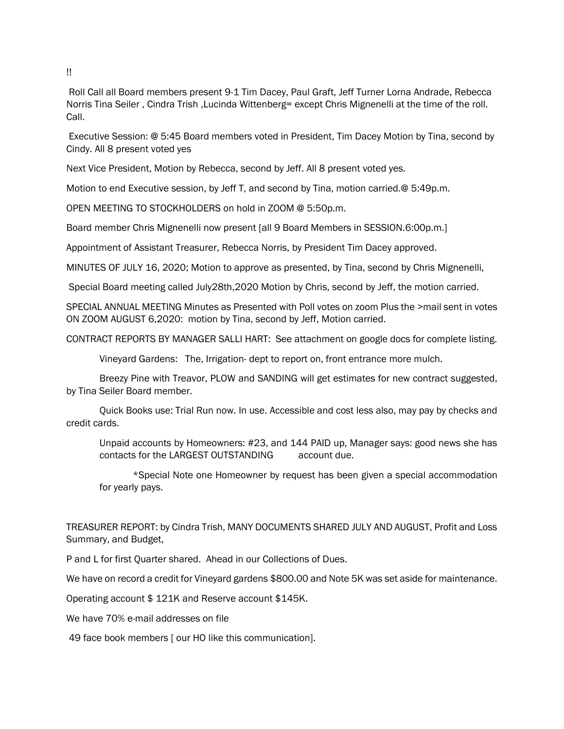Roll Call all Board members present 9-1 Tim Dacey, Paul Graft, Jeff Turner Lorna Andrade, Rebecca Norris Tina Seiler , Cindra Trish ,Lucinda Wittenberg= except Chris Mignenelli at the time of the roll. Call.

Executive Session: @ 5:45 Board members voted in President, Tim Dacey Motion by Tina, second by Cindy. All 8 present voted yes

Next Vice President, Motion by Rebecca, second by Jeff. All 8 present voted yes.

Motion to end Executive session, by Jeff T, and second by Tina, motion carried.@ 5:49p.m.

OPEN MEETING TO STOCKHOLDERS on hold in ZOOM @ 5:50p.m.

Board member Chris Mignenelli now present [all 9 Board Members in SESSION.6:00p.m.]

Appointment of Assistant Treasurer, Rebecca Norris, by President Tim Dacey approved.

MINUTES OF JULY 16, 2020; Motion to approve as presented, by Tina, second by Chris Mignenelli,

Special Board meeting called July28th,2020 Motion by Chris, second by Jeff, the motion carried.

SPECIAL ANNUAL MEETING Minutes as Presented with Poll votes on zoom Plus the >mail sent in votes ON ZOOM AUGUST 6,2020: motion by Tina, second by Jeff, Motion carried.

CONTRACT REPORTS BY MANAGER SALLI HART: See attachment on google docs for complete listing.

Vineyard Gardens: The, Irrigation- dept to report on, front entrance more mulch.

Breezy Pine with Treavor, PLOW and SANDING will get estimates for new contract suggested, by Tina Seiler Board member.

Quick Books use: Trial Run now. In use. Accessible and cost less also, may pay by checks and credit cards.

Unpaid accounts by Homeowners: #23, and 144 PAID up, Manager says: good news she has contacts for the LARGEST OUTSTANDING account due.

\*Special Note one Homeowner by request has been given a special accommodation for yearly pays.

TREASURER REPORT: by Cindra Trish, MANY DOCUMENTS SHARED JULY AND AUGUST, Profit and Loss Summary, and Budget,

P and L for first Quarter shared. Ahead in our Collections of Dues.

We have on record a credit for Vineyard gardens \$800.00 and Note 5K was set aside for maintenance.

Operating account \$ 121K and Reserve account \$145K.

We have 70% e-mail addresses on file

49 face book members [ our HO like this communication].

!!